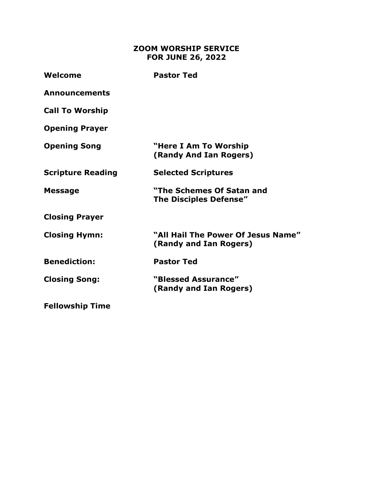## **ZOOM WORSHIP SERVICE FOR JUNE 26, 2022**

| Welcome                  | <b>Pastor Ted</b>                                            |
|--------------------------|--------------------------------------------------------------|
| <b>Announcements</b>     |                                                              |
| <b>Call To Worship</b>   |                                                              |
| <b>Opening Prayer</b>    |                                                              |
| <b>Opening Song</b>      | "Here I Am To Worship<br>(Randy And Ian Rogers)              |
| <b>Scripture Reading</b> | <b>Selected Scriptures</b>                                   |
| <b>Message</b>           | "The Schemes Of Satan and<br><b>The Disciples Defense"</b>   |
| <b>Closing Prayer</b>    |                                                              |
| <b>Closing Hymn:</b>     | "All Hail The Power Of Jesus Name"<br>(Randy and Ian Rogers) |
| <b>Benediction:</b>      | <b>Pastor Ted</b>                                            |
| <b>Closing Song:</b>     | "Blessed Assurance"<br>(Randy and Ian Rogers)                |
| <b>Fellowship Time</b>   |                                                              |